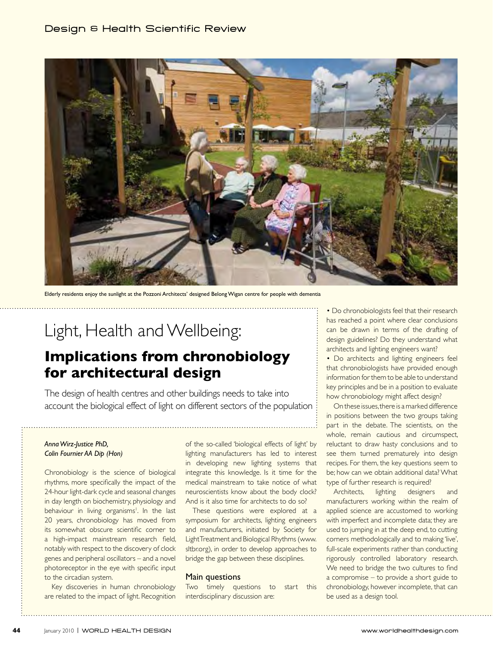### Design & Health Scientific Review



Elderly residents enjoy the sunlight at the Pozzoni Architects' designed Belong Wigan centre for people with dementia

# Light, Health and Wellbeing:

## **Implications from chronobiology for architectural design**

The design of health centres and other buildings needs to take into account the biological effect of light on different sectors of the population

#### *Anna Wirz-Justice PhD, Colin Fournier AA Dip (Hon)*

Chronobiology is the science of biological rhythms, more specifically the impact of the 24-hour light-dark cycle and seasonal changes in day length on biochemistry, physiology and behaviour in living organisms<sup>1</sup>. In the last 20 years, chronobiology has moved from its somewhat obscure scientific corner to a high-impact mainstream research field, notably with respect to the discovery of clock genes and peripheral oscillators – and a novel photoreceptor in the eye with specific input to the circadian system.

Key discoveries in human chronobiology are related to the impact of light. Recognition

of the so-called 'biological effects of light' by lighting manufacturers has led to interest in developing new lighting systems that integrate this knowledge. Is it time for the medical mainstream to take notice of what neuroscientists know about the body clock? And is it also time for architects to do so?

These questions were explored at a symposium for architects, lighting engineers and manufacturers, initiated by Society for Light Treatment and Biological Rhythms (www. sltbr.org), in order to develop approaches to bridge the gap between these disciplines.

#### Main questions

Two timely questions to start this interdisciplinary discussion are:

• Do chronobiologists feel that their research has reached a point where clear conclusions can be drawn in terms of the drafting of design guidelines? Do they understand what architects and lighting engineers want?

• Do architects and lighting engineers feel that chronobiologists have provided enough information for them to be able to understand key principles and be in a position to evaluate how chronobiology might affect design?

On these issues, there is a marked difference in positions between the two groups taking part in the debate. The scientists, on the whole, remain cautious and circumspect, reluctant to draw hasty conclusions and to see them turned prematurely into design recipes. For them, the key questions seem to be; how can we obtain additional data? What type of further research is required?

Architects, lighting designers manufacturers working within the realm of applied science are accustomed to working with imperfect and incomplete data; they are used to jumping in at the deep end, to cutting corners methodologically and to making 'live', full-scale experiments rather than conducting rigorously controlled laboratory research. We need to bridge the two cultures to find a compromise – to provide a short guide to chronobiology, however incomplete, that can be used as a design tool.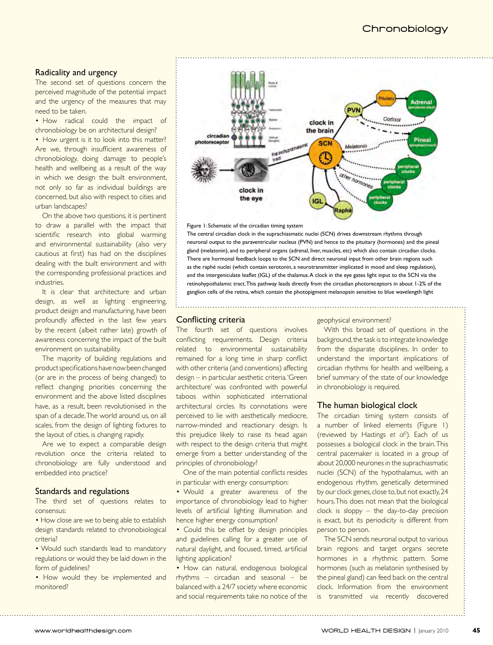#### Radicality and urgency

The second set of questions concern the perceived magnitude of the potential impact and the urgency of the measures that may need to be taken.

• How radical could the impact of chronobiology be on architectural design?

• How urgent is it to look into this matter? Are we, through insufficient awareness of chronobiology, doing damage to people's health and wellbeing as a result of the way in which we design the built environment, not only so far as individual buildings are concerned, but also with respect to cities and urban landscapes?

On the above two questions, it is pertinent to draw a parallel with the impact that scientific research into global warming and environmental sustainability (also very cautious at first) has had on the disciplines dealing with the built environment and with the corresponding professional practices and industries.

It is clear that architecture and urban design, as well as lighting engineering, product design and manufacturing, have been profoundly affected in the last few years by the recent (albeit rather late) growth of awareness concerning the impact of the built environment on sustainability.

The majority of building regulations and product specifications have now been changed (or are in the process of being changed) to reflect changing priorities concerning the environment and the above listed disciplines have, as a result, been revolutionised in the span of a decade. The world around us, on all scales, from the design of lighting fixtures to the layout of cities, is changing rapidly.

Are we to expect a comparable design revolution once the criteria related to chronobiology are fully understood and embedded into practice?

#### Standards and regulations

The third set of questions relates to consensus:

• How close are we to being able to establish design standards related to chronobiological criteria?

• Would such standards lead to mandatory regulations or would they be laid down in the form of guidelines?

• How would they be implemented and monitored?



#### Figure 1: Schematic of the circadian timing system

The central circadian clock in the suprachiasmatic nuclei (SCN) drives downstream rhythms through neuronal output to the paraventricular nucleus (PVN) and hence to the pituitary (hormones) and the pineal gland (melatonin), and to peripheral organs (adrenal, liver, muscles, etc) which also contain circadian clocks. There are hormonal feedback loops to the SCN and direct neuronal input from other brain regions such as the raphé nuclei (which contain serotonin, a neurotransmitter implicated in mood and sleep regulation), and the intergeniculate leaflet (IGL) of the thalamus. A clock in the eye gates light input to the SCN via the retinohypothalamic tract. This pathway leads directly from the circadian photoreceptors in about 1-2% of the ganglion cells of the retina, which contain the photopigment melanopsin sensitive to blue wavelength light

#### **Conflicting criteria**

The fourth set of questions involves conflicting requirements. Design criteria related to environmental sustainability remained for a long time in sharp conflict with other criteria (and conventions) affecting design – in particular aesthetic criteria. 'Green architecture' was confronted with powerful taboos within sophisticated international architectural circles. Its connotations were perceived to lie with aesthetically mediocre, narrow-minded and reactionary design. Is this prejudice likely to raise its head again with respect to the design criteria that might emerge from a better understanding of the principles of chronobiology?

One of the main potential conflicts resides in particular with energy consumption:

• Would a greater awareness of the importance of chronobiology lead to higher levels of artificial lighting illumination and hence higher energy consumption?

• Could this be offset by design principles and guidelines calling for a greater use of natural daylight, and focused, timed, artificial lighting application?

• How can natural, endogenous biological rhythms – circadian and seasonal – be balanced with a 24/7 society where economic and social requirements take no notice of the

#### geophysical environment?

With this broad set of questions in the background, the task is to integrate knowledge from the disparate disciplines. In order to understand the important implications of circadian rhythms for health and wellbeing, a brief summary of the state of our knowledge in chronobiology is required.

#### The human biological clock

The circadian timing system consists of a number of linked elements (Figure 1) (reviewed by Hastings *et al*<sup>2</sup> ). Each of us possesses a biological clock in the brain. This central pacemaker is located in a group of about 20,000 neurones in the suprachiasmatic nuclei (SCN) of the hypothalamus, with an endogenous rhythm, genetically determined by our clock genes, close to, but not exactly, 24 hours. This does not mean that the biological clock is sloppy – the day-to-day precision is exact, but its periodicity is different from person to person.

The SCN sends neuronal output to various brain regions and target organs secrete hormones in a rhythmic pattern. Some hormones (such as melatonin synthesised by the pineal gland) can feed back on the central clock. Information from the environment is transmitted via recently discovered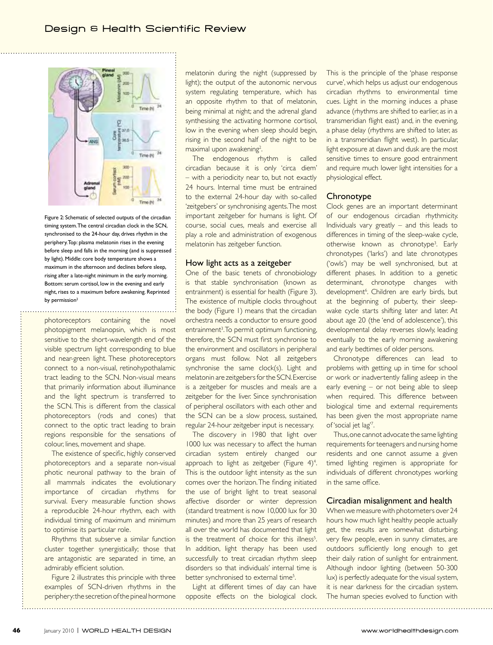

Figure 2: Schematic of selected outputs of the circadian timing system. The central circadian clock in the SCN, synchronised to the 24-hour day, drives rhythm in the periphery. Top: plasma melatonin rises in the evening before sleep and falls in the morning (and is suppressed by light). Middle: core body temperature shows a maximum in the afternoon and declines before sleep, rising after a late-night minimum in the early morning. Bottom: serum cortisol, low in the evening and early night, rises to a maximum before awakening. Reprinted by permission<sup>2</sup>

photoreceptors containing the novel photopigment melanopsin, which is most sensitive to the short-wavelength end of the visible spectrum light corresponding to blue and near-green light. These photoreceptors connect to a non-visual, retinohypothalamic tract leading to the SCN. Non-visual means that primarily information about illuminance and the light spectrum is transferred to the SCN. This is different from the classical photoreceptors (rods and cones) that connect to the optic tract leading to brain regions responsible for the sensations of colour, lines, movement and shape.

The existence of specific, highly conserved photoreceptors and a separate non-visual photic neuronal pathway to the brain of all mammals indicates the evolutionary importance of circadian rhythms for survival. Every measurable function shows a reproducible 24-hour rhythm, each with individual timing of maximum and minimum to optimise its particular role.

Rhythms that subserve a similar function cluster together synergistically; those that are antagonistic are separated in time, an admirably efficient solution.

Figure 2 illustrates this principle with three examples of SCN-driven rhythms in the periphery: the secretion of the pineal hormone melatonin during the night (suppressed by light); the output of the autonomic nervous system regulating temperature, which has an opposite rhythm to that of melatonin, being minimal at night; and the adrenal gland synthesising the activating hormone cortisol, low in the evening when sleep should begin, rising in the second half of the night to be maximal upon awakening<sup>2</sup>. .

The endogenous rhythm is called circadian because it is only 'circa diem' – with a periodicity near to, but not exactly 24 hours. Internal time must be entrained to the external 24-hour day with so-called 'zeitgebers' or synchronising agents. The most important zeitgeber for humans is light. Of course, social cues, meals and exercise all play a role and administration of exogenous melatonin has zeitgeber function.

#### How light acts as a zeitgeber

One of the basic tenets of chronobiology is that stable synchronisation (known as entrainment) is essential for health (Figure 3). The existence of multiple clocks throughout the body (Figure 1) means that the circadian orchestra needs a conductor to ensure good entrainment<sup>3</sup>. To permit optimum functioning, therefore, the SCN must first synchronise to the environment and oscillators in peripheral organs must follow. Not all zeitgebers synchronise the same clock(s). Light and melatonin are zeitgebers for the SCN. Exercise is a zeitgeber for muscles and meals are a zeitgeber for the liver. Since synchronisation of peripheral oscillators with each other and the SCN can be a slow process, sustained, regular 24-hour zeitgeber input is necessary.

The discovery in 1980 that light over 1000 lux was necessary to affect the human circadian system entirely changed our approach to light as zeitgeber (Figure  $4$ )<sup>4</sup>. This is the outdoor light intensity as the sun comes over the horizon. The finding initiated the use of bright light to treat seasonal affective disorder or winter depression (standard treatment is now 10,000 lux for 30 minutes) and more than 25 years of research all over the world has documented that light is the treatment of choice for this illness<sup>5</sup>. In addition, light therapy has been used successfully to treat circadian rhythm sleep disorders so that individuals' internal time is better synchronised to external time<sup>5</sup>. .

Light at different times of day can have opposite effects on the biological clock. This is the principle of the 'phase response curve', which helps us adjust our endogenous circadian rhythms to environmental time cues. Light in the morning induces a phase advance (rhythms are shifted to earlier, as in a transmeridian flight east) and, in the evening, a phase delay (rhythms are shifted to later, as in a transmeridian flight west). In particular, light exposure at dawn and dusk are the most sensitive times to ensure good entrainment and require much lower light intensities for a physiological effect.

#### **Chronotype**

Clock genes are an important determinant of our endogenous circadian rhythmicity. Individuals vary greatly – and this leads to differences in timing of the sleep-wake cycle, otherwise known as chronotype<sup>3</sup>. Early chronotypes ('larks') and late chronotypes ('owls') may be well synchronised, but at different phases. In addition to a genetic determinant, chronotype changes with development<sup>6</sup>. Children are early birds, but at the beginning of puberty, their sleepwake cycle starts shifting later and later. At about age 20 (the 'end of adolescence'), this developmental delay reverses slowly, leading eventually to the early morning awakening and early bedtimes of older persons.

Chronotype differences can lead to problems with getting up in time for school or work or inadvertently falling asleep in the early evening – or not being able to sleep when required. This difference between biological time and external requirements has been given the most appropriate name of 'social jet lag'7 .

Thus, one cannot advocate the same lighting requirements for teenagers and nursing home residents and one cannot assume a given timed lighting regimen is appropriate for individuals of different chronotypes working in the same office.

#### Circadian misalignment and health

When we measure with photometers over 24 hours how much light healthy people actually get, the results are somewhat disturbing; very few people, even in sunny climates, are outdoors sufficiently long enough to get their daily ration of sunlight for entrainment. Although indoor lighting (between 50-300 lux) is perfectly adequate for the visual system, it is near darkness for the circadian system. The human species evolved to function with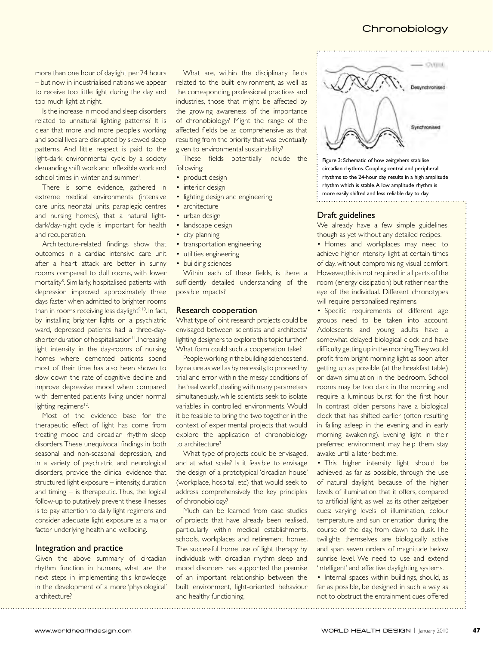more than one hour of daylight per 24 hours – but now in industrialised nations we appear to receive too little light during the day and too much light at night.

Is the increase in mood and sleep disorders related to unnatural lighting patterns? It is clear that more and more people's working and social lives are disrupted by skewed sleep patterns. And little respect is paid to the light-dark environmental cycle by a society demanding shift work and inflexible work and school times in winter and summer<sup>1</sup>. .

There is some evidence, gathered in extreme medical environments (intensive care units, neonatal units, paraplegic centres and nursing homes), that a natural lightdark/day-night cycle is important for health and recuperation.

Architecture-related findings show that outcomes in a cardiac intensive care unit after a heart attack are better in sunny rooms compared to dull rooms, with lower mortality<sup>8</sup>. Similarly, hospitalised patients with depression improved approximately three days faster when admitted to brighter rooms than in rooms receiving less daylight $9,10$ . In fact, by installing brighter lights on a psychiatric ward, depressed patients had a three-dayshorter duration of hospitalisation<sup>11</sup>. Increasing light intensity in the day-rooms of nursing homes where demented patients spend most of their time has also been shown to slow down the rate of cognitive decline and improve depressive mood when compared with demented patients living under normal lighting regimens<sup>12</sup>.

Most of the evidence base for the therapeutic effect of light has come from treating mood and circadian rhythm sleep disorders. These unequivocal findings in both seasonal and non-seasonal depression, and in a variety of psychiatric and neurological disorders, provide the clinical evidence that structured light exposure – intensity, duration and timing – is therapeutic. Thus, the logical follow-up to putatively prevent these illnesses is to pay attention to daily light regimens and consider adequate light exposure as a major factor underlying health and wellbeing.

#### Integration and practice

Given the above summary of circadian rhythm function in humans, what are the next steps in implementing this knowledge in the development of a more 'physiological' architecture?

What are, within the disciplinary fields related to the built environment, as well as the corresponding professional practices and industries, those that might be affected by the growing awareness of the importance of chronobiology? Might the range of the affected fields be as comprehensive as that resulting from the priority that was eventually given to environmental sustainability?

These fields potentially include the following:

- product design
- interior design
- lighting design and engineering
- architecture
- urban design
- landscape design
- city planning
- transportation engineering
- utilities engineering
- building sciences

Within each of these fields, is there a sufficiently detailed understanding of the possible impacts?

#### Research cooperation

What type of joint research projects could be envisaged between scientists and architects/ lighting designers to explore this topic further? What form could such a cooperation take?

People working in the building sciences tend, by nature as well as by necessity, to proceed by trial and error within the messy conditions of the 'real world', dealing with many parameters simultaneously, while scientists seek to isolate variables in controlled environments. Would it be feasible to bring the two together in the context of experimental projects that would explore the application of chronobiology to architecture?

What type of projects could be envisaged, and at what scale? Is it feasible to envisage the design of a prototypical 'circadian house' (workplace, hospital, etc) that would seek to address comprehensively the key principles of chronobiology?

Much can be learned from case studies of projects that have already been realised, particularly within medical establishments, schools, workplaces and retirement homes. The successful home use of light therapy by individuals with circadian rhythm sleep and mood disorders has supported the premise of an important relationship between the built environment, light-oriented behaviour and healthy functioning.



Figure 3: Schematic of how zeitgebers stabilise circadian rhythms. Coupling central and peripheral rhythms to the 24-hour day results in a high amplitude rhythm which is stable. A low amplitude rhythm is more easily shifted and less reliable day to day

#### Draft guidelines

We already have a few simple guidelines, though as yet without any detailed recipes.

• Homes and workplaces may need to achieve higher intensity light at certain times of day, without compromising visual comfort. However, this is not required in all parts of the room (energy dissipation) but rather near the eye of the individual. Different chronotypes will require personalised regimens.

• Specific requirements of different age groups need to be taken into account. Adolescents and young adults have a somewhat delayed biological clock and have difficulty getting up in the morning. They would profit from bright morning light as soon after getting up as possible (at the breakfast table) or dawn simulation in the bedroom. School rooms may be too dark in the morning and require a luminous burst for the first hour. In contrast, older persons have a biological clock that has shifted earlier (often resulting in falling asleep in the evening and in early morning awakening). Evening light in their preferred environment may help them stay awake until a later bedtime.

• This higher intensity light should be achieved, as far as possible, through the use of natural daylight, because of the higher levels of illumination that it offers, compared to artificial light, as well as its other zeitgeber cues: varying levels of illumination, colour temperature and sun orientation during the course of the day, from dawn to dusk. The twilights themselves are biologically active and span seven orders of magnitude below sunrise level. We need to use and extend 'intelligent' and effective daylighting systems.

• Internal spaces within buildings, should, as far as possible, be designed in such a way as not to obstruct the entrainment cues offered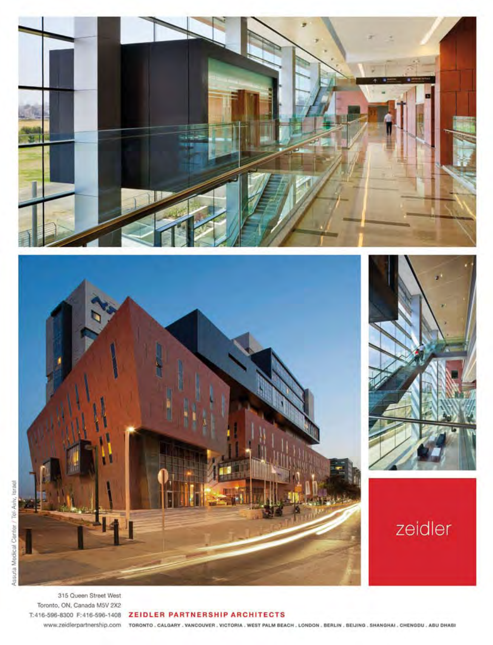



315 Queen Street West Toronto, ON, Canada M5V 2X2

#### T:416-596-8300 F:416-596-1408 ZEIDLER PARTNERSHIP ARCHITECTS

WWW.Zeidlerpartnership.com тояомто, садалях, уамсоцуев, укстояка, west PALM BEACH, LONDON, BERLIN, BELJING, SHANGHAI, CHENGDU, ABU DHABI